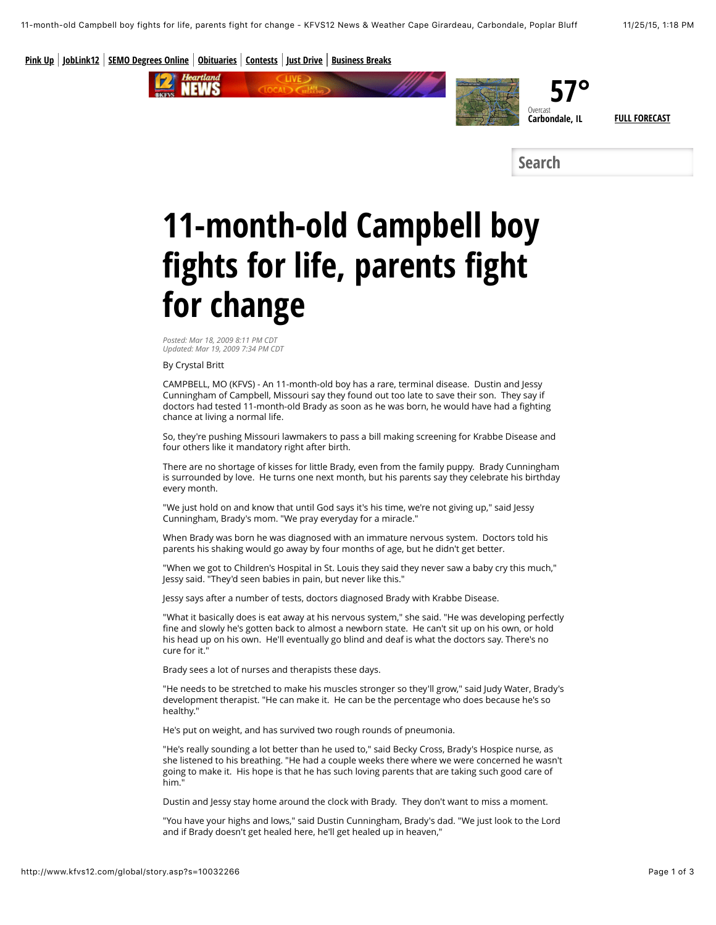**[Pink Up](http://www.kfvs12.com/category/250360/pink-up) [JobLink12](http://www.kfvs12.com/category/97960/joblink12) [SEMO Degrees Online](http://www.semo.edu/online/) [Obituaries](http://kfvs12.tributes.com/national/home) [Contests](http://www.kfvs12.com/category/47295/contestsgames) [Just Drive](http://www.kfvs12.com/category/286529/just-drive-heartland) [Business Breaks](http://www.kfvs12.com/category/289898/business-break)**



**Search**

## **11-month-old Campbell boy fights for life, parents fight for change**

*Posted: Mar 18, 2009 8:11 PM CDT Updated: Mar 19, 2009 7:34 PM CDT*

By Crystal Britt

CAMPBELL, MO (KFVS) - An 11-month-old boy has a rare, terminal disease. Dustin and Jessy Cunningham of Campbell, Missouri say they found out too late to save their son. They say if doctors had tested 11-month-old Brady as soon as he was born, he would have had a fighting chance at living a normal life.

So, they're pushing Missouri lawmakers to pass a bill making screening for Krabbe Disease and four others like it mandatory right after birth.

There are no shortage of kisses for little Brady, even from the family puppy. Brady Cunningham is surrounded by love. He turns one next month, but his parents say they celebrate his birthday every month.

"We just hold on and know that until God says it's his time, we're not giving up," said Jessy Cunningham, Brady's mom. "We pray everyday for a miracle."

When Brady was born he was diagnosed with an immature nervous system. Doctors told his parents his shaking would go away by four months of age, but he didn't get better.

"When we got to Children's Hospital in St. Louis they said they never saw a baby cry this much," Jessy said. "They'd seen babies in pain, but never like this."

Jessy says after a number of tests, doctors diagnosed Brady with Krabbe Disease.

"What it basically does is eat away at his nervous system," she said. "He was developing perfectly fine and slowly he's gotten back to almost a newborn state. He can't sit up on his own, or hold his head up on his own. He'll eventually go blind and deaf is what the doctors say. There's no cure for it."

Brady sees a lot of nurses and therapists these days.

"He needs to be stretched to make his muscles stronger so they'll grow," said Judy Water, Brady's development therapist. "He can make it. He can be the percentage who does because he's so healthy."

He's put on weight, and has survived two rough rounds of pneumonia.

"He's really sounding a lot better than he used to," said Becky Cross, Brady's Hospice nurse, as she listened to his breathing. "He had a couple weeks there where we were concerned he wasn't going to make it. His hope is that he has such loving parents that are taking such good care of him."

Dustin and Jessy stay home around the clock with Brady. They don't want to miss a moment.

"You have your highs and lows," said Dustin Cunningham, Brady's dad. "We just look to the Lord and if Brady doesn't get healed here, he'll get healed up in heaven,"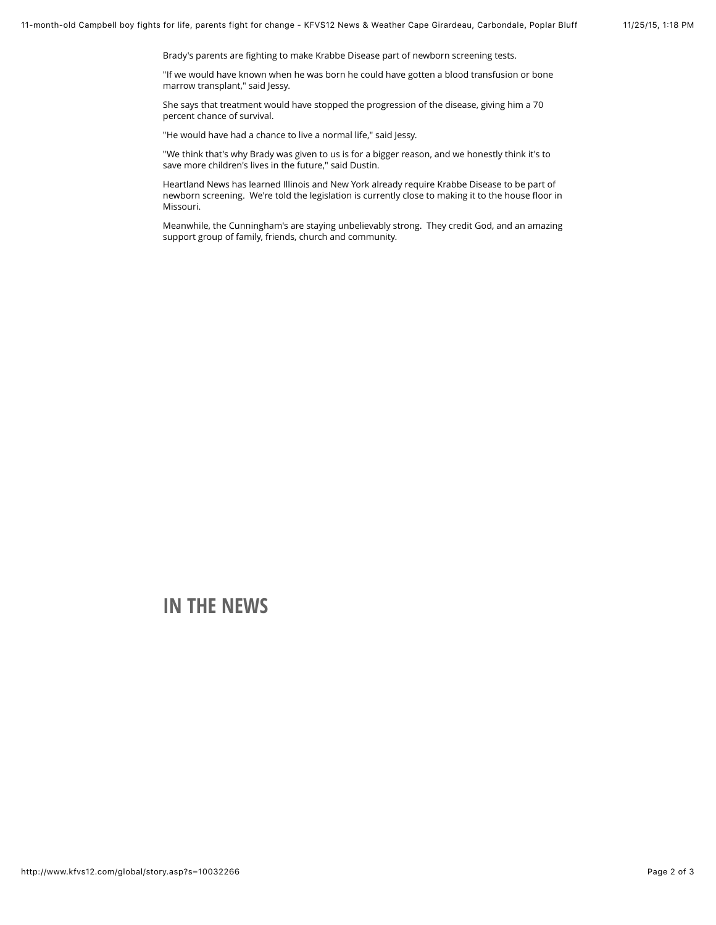Brady's parents are fighting to make Krabbe Disease part of newborn screening tests.

"If we would have known when he was born he could have gotten a blood transfusion or bone marrow transplant," said Jessy.

She says that treatment would have stopped the progression of the disease, giving him a 70 percent chance of survival.

"He would have had a chance to live a normal life," said Jessy.

"We think that's why Brady was given to us is for a bigger reason, and we honestly think it's to save more children's lives in the future," said Dustin.

Heartland News has learned Illinois and New York already require Krabbe Disease to be part of newborn screening. We're told the legislation is currently close to making it to the house floor in Missouri.

Meanwhile, the Cunningham's are staying unbelievably strong. They credit God, and an amazing support group of family, friends, church and community.

## **IN THE NEWS**